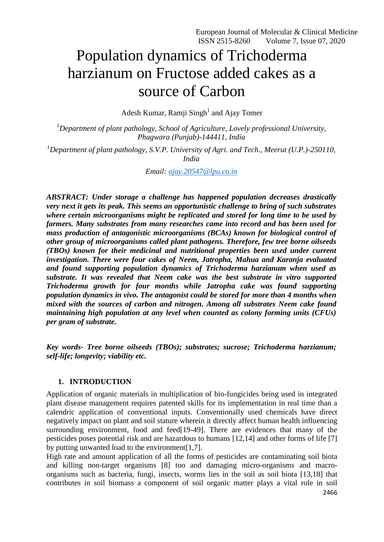# Population dynamics of Trichoderma harzianum on Fructose added cakes as a source of Carbon

Adesh Kumar, Ramji Singh<sup>1</sup> and Ajay Tomer

*<sup>1</sup>Department of plant pathology, School of Agriculture, Lovely professional University, Phagwara (Punjab)-144411, India*

*<sup>1</sup>Department of plant pathology, S.V.P. University of Agri. and Tech., Meerut (U.P.)-250110, India*

*Email: [ajay.20547@lpu.co.in](mailto:ajay.20547@lpu.co.in)*

*ABSTRACT: Under storage a challenge has happened population decreases drastically very next it gets its peak. This seems an opportunistic challenge to bring of such substrates where certain microorganisms might be replicated and stored for long time to be used by farmers. Many substrates from many researches came into record and has been used for mass production of antagonistic microorganisms (BCAs) known for biological control of other group of microorganisms called plant pathogens. Therefore, few tree borne oilseeds (TBOs) known for their medicinal and nutritional properties been used under current investigation. There were four cakes of Neem, Jatropha, Mahua and Karanja evaluated and found supporting population dynamics of Trichoderma harzianum when used as substrate. It was revealed that Neem cake was the best substrate in vitro supported Trichoderma growth for four months while Jatropha cake was found supporting population dynamics in vivo. The antagonist could be stored for more than 4 months when mixed with the sources of carbon and nitrogen. Among all substrates Neem cake found maintaining high population at any level when counted as colony forming units (CFUs) per gram of substrate.* 

*Key words- Tree borne oilseeds (TBOs); substrates; sucrose; Trichoderma harzianum; self-life; longevity; viability etc.*

#### **1. INTRODUCTION**

Application of organic materials in multiplication of bio-fungicides being used in integrated plant disease management requires patented skills for its implementation in real time than a calendric application of conventional inputs. Conventionally used chemicals have direct negatively impact on plant and soil stature wherein it directly affect human health influencing surrounding environment, food and feed[19-49]. There are evidences that many of the pesticides poses potential risk and are hazardous to humans [12,14] and other forms of life [7] by putting unwanted load to the environment[1,7].

High rate and amount application of all the forms of pesticides are contaminating soil biota and killing non-target organisms [8] too and damaging micro-organisms and macroorganisms such as bacteria, fungi, insects, worms lies in the soil as soil biota [13,18] that contributes in soil biomass a component of soil organic matter plays a vital role in soil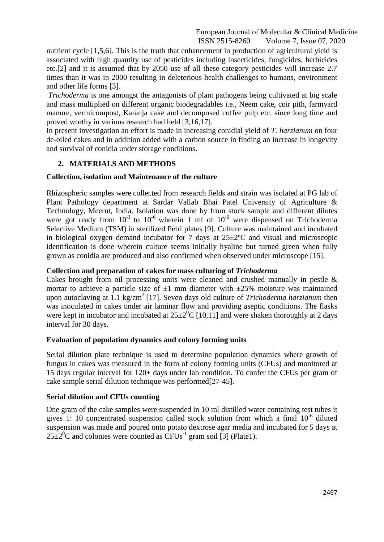nutrient cycle [1,5,6]. This is the truth that enhancement in production of agricultural yield is associated with high quantity use of pesticides including insecticides, fungicides, herbicides etc.[2] and it is assumed that by 2050 use of all these category pesticides will increase 2.7 times than it was in 2000 resulting in deleterious health challenges to humans, environment and other life forms [3].

*Trichoderma* is one amongst the antagonists of plant pathogens being cultivated at big scale and mass multiplied on different organic biodegradables i.e., Neem cake, coir pith, farmyard manure, vermicompost, Karanja cake and decomposed coffee pulp etc. since long time and proved worthy in various research had held [3,16,17].

In present investigation an effort is made in increasing conidial yield of *T. harzianum* on four de-oiled cakes and in addition added with a carbon source in finding an increase in longevity and survival of conidia under storage conditions.

## **2. MATERIALS AND METHODS**

## **Collection, isolation and Maintenance of the culture**

Rhizospheric samples were collected from research fields and strain was isolated at PG lab of Plant Pathology department at Sardar Vallab Bhai Patel University of Agriculture & Technology, Meerut, India. Isolation was done by from stock sample and different dilutes were got ready from  $10^{-1}$  to  $10^{-6}$  wherein 1 ml of  $10^{-6}$  were dispensed on Trichoderma Selective Medium (TSM) in sterilized Petri plates [9]*.* Culture was maintained and incubated in biological oxygen demand incubator for 7 days at  $25 \pm 2$ °C and visual and microscopic identification is done wherein culture seems initially hyaline but turned green when fully grown as conidia are produced and also confirmed when observed under microscope [15].

## **Collection and preparation of cakes for mass culturing of** *Trichoderma*

Cakes brought from oil processing units were cleaned and crushed manually in pestle & mortar to achieve a particle size of  $\pm 1$  mm diameter with  $\pm 25$ % moisture was maintained upon autoclaving at 1.1 kg/cm<sup>2</sup> [17]. Seven days old culture of *Trichoderma harzianum* then was inoculated in cakes under air laminar flow and providing aseptic conditions. The flasks were kept in incubator and incubated at  $25\pm2\degree C$  [10,11] and were shaken thoroughly at 2 days interval for 30 days.

## **Evaluation of population dynamics and colony forming units**

Serial dilution plate technique is used to determine population dynamics where growth of fungus in cakes was measured in the form of colony forming units (CFUs) and monitored at 15 days regular interval for 120+ days under lab condition. To confer the CFUs per gram of cake sample serial dilution technique was performed[27-45].

## **Serial dilution and CFUs counting**

One gram of the cake samples were suspended in 10 ml distilled water containing test tubes it gives 1: 10 concentrated suspension called stock solution from which a final 10<sup>-6</sup> diluted suspension was made and poured onto potato dextrose agar media and incubated for 5 days at  $25\pm2\degree$ C and colonies were counted as CFUs<sup>-1</sup> gram soil [3] (Plate1).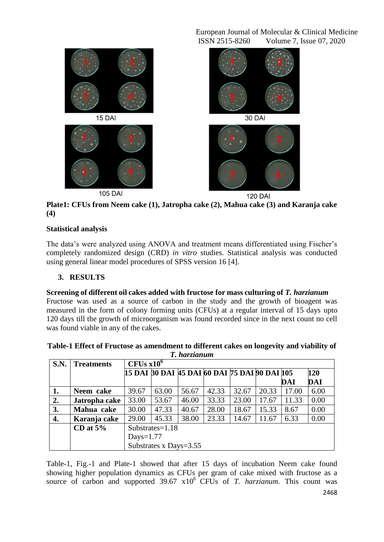

**Plate1: CFUs from Neem cake (1), Jatropha cake (2), Mahua cake (3) and Karanja cake (4)**

# **Statistical analysis**

The data's were analyzed using ANOVA and treatment means differentiated using Fischer's completely randomized design (CRD) *in vitro* studies. Statistical analysis was conducted using general linear model procedures of SPSS version 16 [4].

## **3. RESULTS**

## **Screening of different oil cakes added with fructose for mass culturing of** *T. harzianum*

Fructose was used as a source of carbon in the study and the growth of bioagent was measured in the form of colony forming units (CFUs) at a regular interval of 15 days upto 120 days till the growth of microorganism was found recorded since in the next count no cell was found viable in any of the cakes.

| 1, Ital suununt |                   |                                               |       |       |       |       |       |       |      |
|-----------------|-------------------|-----------------------------------------------|-------|-------|-------|-------|-------|-------|------|
| S.N.            | <b>Treatments</b> | CFUs x10 <sup>6</sup>                         |       |       |       |       |       |       |      |
|                 |                   | 15 DAI 30 DAI 45 DAI 60 DAI 75 DAI 90 DAI 105 |       |       |       |       |       |       | 120  |
|                 |                   |                                               |       |       |       |       |       | DAI   | DAI  |
| 1.              | Neem cake         | 39.67                                         | 63.00 | 56.67 | 42.33 | 32.67 | 20.33 | 17.00 | 6.00 |
| 2.              | Jatropha cake     | 33.00                                         | 53.67 | 46.00 | 33.33 | 23.00 | 17.67 | 11.33 | 0.00 |
| 3.              | Mahua cake        | 30.00                                         | 47.33 | 40.67 | 28.00 | 18.67 | 15.33 | 8.67  | 0.00 |
| 4.              | Karanja cake      | 29.00                                         | 45.33 | 38.00 | 23.33 | 14.67 | 11.67 | 6.33  | 0.00 |
|                 | CD at $5\%$       | Substrates= $1.18$                            |       |       |       |       |       |       |      |
|                 |                   | Days= $1.77$                                  |       |       |       |       |       |       |      |
|                 |                   | Substrates x Days=3.55                        |       |       |       |       |       |       |      |

| Table-1 Effect of Fructose as amendment to different cakes on longevity and viability of |
|------------------------------------------------------------------------------------------|
| T. harzianum                                                                             |

Table-1, Fig.-1 and Plate-1 showed that after 15 days of incubation Neem cake found showing higher population dynamics as CFUs per gram of cake mixed with fructose as a source of carbon and supported 39.67 x10<sup>6</sup> CFUs of *T. harzianum*. This count was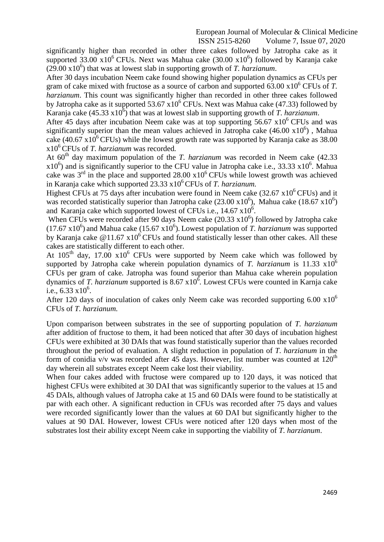significantly higher than recorded in other three cakes followed by Jatropha cake as it supported  $33.00 \times 10^6$  CFUs. Next was Mahua cake  $(30.00 \times 10^6)$  followed by Karanja cake  $(29.00 \times 10^6)$  that was at lowest slab in supporting growth of *T. harzianum*.

After 30 days incubation Neem cake found showing higher population dynamics as CFUs per gram of cake mixed with fructose as a source of carbon and supported  $63.00 \times 10^6$  CFUs of *T*. *harzianum*. This count was significantly higher than recorded in other three cakes followed by Jatropha cake as it supported  $53.67 \times 10^6$  CFUs. Next was Mahua cake (47.33) followed by Karanja cake (45.33 x10<sup>6</sup>) that was at lowest slab in supporting growth of *T. harzianum*.

After 45 days after incubation Neem cake was at top supporting  $56.67 \times 10^6$  CFUs and was significantly superior than the mean values achieved in Jatropha cake  $(46.00 \times 10^6)$ , Mahua cake (40.67 x10<sup>6</sup>CFUs) while the lowest growth rate was supported by Karanja cake as 38.00 x10<sup>6</sup>CFUs of *T. harzianum* was recorded*.* 

At 60<sup>th</sup> day maximum population of the *T. harzianum* was recorded in Neem cake (42.33)  $x10<sup>6</sup>$ ) and is significantly superior to the CFU value in Jatropha cake i.e., 33.33  $x10<sup>6</sup>$ . Mahua cake was  $3<sup>rd</sup>$  in the place and supported 28.00 x10<sup>6</sup> CFUs while lowest growth was achieved in Karanja cake which supported  $23.33 \times 10^6$  CFUs of *T. harzianum.* 

Highest CFUs at 75 days after incubation were found in Neem cake  $(32.67 \times 10^{6}$  CFUs) and it was recorded statistically superior than Jatropha cake  $(23.00 \times 10^6)$ , Mahua cake  $(18.67 \times 10^6)$ and Karanja cake which supported lowest of CFUs i.e.,  $14.67 \times 10^6$ .

When CFUs were recorded after 90 days Neem cake  $(20.33 \times 10^6)$  followed by Jatropha cake  $(17.67 \times 10^{6})$  and Mahua cake  $(15.67 \times 10^{6})$ . Lowest population of *T. harzianum* was supported by Karanja cake  $\omega$ 11.67 x10<sup>6</sup>CFUs and found statistically lesser than other cakes. All these cakes are statistically different to each other.

At  $105<sup>th</sup>$  day, 17.00  $x10<sup>6</sup>$  CFUs were supported by Neem cake which was followed by supported by Jatropha cake wherein population dynamics of *T. harzianum* is 11.33 x10<sup>6</sup> CFUs per gram of cake*.* Jatropha was found superior than Mahua cake wherein population dynamics of *T. harzianum* supported is 8.67 x10<sup>6</sup>. Lowest CFUs were counted in Karnja cake i.e.,  $6.33 \times 10^6$ .

After 120 days of inoculation of cakes only Neem cake was recorded supporting 6.00  $x10^6$ CFUs of *T. harzianum.*

Upon comparison between substrates in the see of supporting population of *T. harzianum*  after addition of fructose to them, it had been noticed that after 30 days of incubation highest CFUs were exhibited at 30 DAIs that was found statistically superior than the values recorded throughout the period of evaluation. A slight reduction in population of *T. harzianum* in the form of conidia v/v was recorded after 45 days. However, list number was counted at  $120<sup>th</sup>$ day wherein all substrates except Neem cake lost their viability.

When four cakes added with fructose were compared up to 120 days, it was noticed that highest CFUs were exhibited at 30 DAI that was significantly superior to the values at 15 and 45 DAIs, although values of Jatropha cake at 15 and 60 DAIs were found to be statistically at par with each other. A significant reduction in CFUs was recorded after 75 days and values were recorded significantly lower than the values at 60 DAI but significantly higher to the values at 90 DAI. However, lowest CFUs were noticed after 120 days when most of the substrates lost their ability except Neem cake in supporting the viability of *T. harzianum*.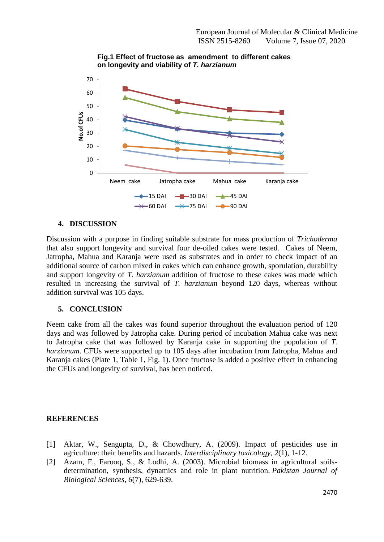

**Fig.1 Effect of fructose as amendment to different cakes on longevity and viability of** *T. harzianum*

## **4. DISCUSSION**

Discussion with a purpose in finding suitable substrate for mass production of *Trichoderma* that also support longevity and survival four de-oiled cakes were tested. Cakes of Neem, Jatropha, Mahua and Karanja were used as substrates and in order to check impact of an additional source of carbon mixed in cakes which can enhance growth, sporulation, durability and support longevity of *T. harzianum* addition of fructose to these cakes was made which resulted in increasing the survival of *T. harzianum* beyond 120 days, whereas without addition survival was 105 days.

## **5. CONCLUSION**

Neem cake from all the cakes was found superior throughout the evaluation period of 120 days and was followed by Jatropha cake. During period of incubation Mahua cake was next to Jatropha cake that was followed by Karanja cake in supporting the population of *T. harzianum*. CFUs were supported up to 105 days after incubation from Jatropha, Mahua and Karanja cakes (Plate 1, Table 1, Fig. 1). Once fructose is added a positive effect in enhancing the CFUs and longevity of survival, has been noticed.

## **REFERENCES**

- [1] Aktar, W., Sengupta, D., & Chowdhury, A. (2009). Impact of pesticides use in agriculture: their benefits and hazards. *Interdisciplinary toxicology*, *2*(1), 1-12.
- [2] Azam, F., Farooq, S., & Lodhi, A. (2003). Microbial biomass in agricultural soilsdetermination, synthesis, dynamics and role in plant nutrition. *Pakistan Journal of Biological Sciences*, *6*(7), 629-639.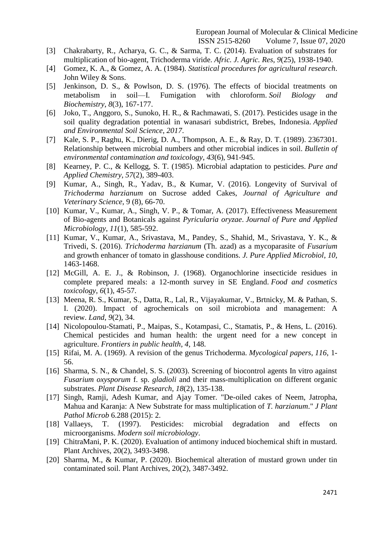- [3] Chakrabarty, R., Acharya, G. C., & Sarma, T. C. (2014). Evaluation of substrates for multiplication of bio-agent, Trichoderma viride. *Afric. J. Agric. Res*, *9*(25), 1938-1940.
- [4] Gomez, K. A., & Gomez, A. A. (1984). *Statistical procedures for agricultural research*. John Wiley & Sons.
- [5] Jenkinson, D. S., & Powlson, D. S. (1976). The effects of biocidal treatments on metabolism in soil—I. Fumigation with chloroform. *Soil Biology and Biochemistry*, *8*(3), 167-177.
- [6] Joko, T., Anggoro, S., Sunoko, H. R., & Rachmawati, S. (2017). Pesticides usage in the soil quality degradation potential in wanasari subdistrict, Brebes, Indonesia. *Applied and Environmental Soil Science*, *2017*.
- [7] Kale, S. P., Raghu, K., Dierig, D. A., Thompson, A. E., & Ray, D. T. (1989). 2367301. Relationship between microbial numbers and other microbial indices in soil. *Bulletin of environmental contamination and toxicology*, *43*(6), 941-945.
- [8] Kearney, P. C., & Kellogg, S. T. (1985). Microbial adaptation to pesticides. *Pure and Applied Chemistry*, *57*(2), 389-403.
- [9] Kumar, A., Singh, R., Yadav, B., & Kumar, V. (2016). Longevity of Survival of *Trichoderma harzianum* on Sucrose added Cakes, *Journal of Agriculture and Veterinary Science*, 9 (8), 66-70.
- [10] Kumar, V., Kumar, A., Singh, V. P., & Tomar, A. (2017). Effectiveness Measurement of Bio-agents and Botanicals against *Pyricularia oryzae*. *Journal of Pure and Applied Microbiology*, *11*(1), 585-592.
- [11] Kumar, V., Kumar, A., Srivastava, M., Pandey, S., Shahid, M., Srivastava, Y. K., & Trivedi, S. (2016). *Trichoderma harzianum* (Th. azad) as a mycoparasite of *Fusarium* and growth enhancer of tomato in glasshouse conditions. *J. Pure Applied Microbiol*, *10*, 1463-1468.
- [12] McGill, A. E. J., & Robinson, J. (1968). Organochlorine insecticide residues in complete prepared meals: a 12-month survey in SE England. *Food and cosmetics toxicology*, *6*(1), 45-57.
- [13] Meena, R. S., Kumar, S., Datta, R., Lal, R., Vijayakumar, V., Brtnicky, M. & Pathan, S. I. (2020). Impact of agrochemicals on soil microbiota and management: A review. *Land*, *9*(2), 34.
- [14] Nicolopoulou-Stamati, P., Maipas, S., Kotampasi, C., Stamatis, P., & Hens, L. (2016). Chemical pesticides and human health: the urgent need for a new concept in agriculture. *Frontiers in public health*, *4*, 148.
- [15] Rifai, M. A. (1969). A revision of the genus Trichoderma. *Mycological papers*, *116*, 1- 56.
- [16] Sharma, S. N., & Chandel, S. S. (2003). Screening of biocontrol agents In vitro against *Fusarium oxysporum* f. sp. *gladioli* and their mass-multiplication on different organic substrates. *Plant Disease Research*, *18*(2), 135-138.
- [17] Singh, Ramji, Adesh Kumar, and Ajay Tomer. "De-oiled cakes of Neem, Jatropha, Mahua and Karanja: A New Substrate for mass multiplication of *T. harzianum*." *J Plant Pathol Microb* 6.288 (2015): 2.
- [18] Vallaeys, T. (1997). Pesticides: microbial degradation and effects on microorganisms. *Modern soil microbiology*.
- [19] ChitraMani, P. K. (2020). Evaluation of antimony induced biochemical shift in mustard. Plant Archives, 20(2), 3493-3498.
- [20] Sharma, M., & Kumar, P. (2020). Biochemical alteration of mustard grown under tin contaminated soil. Plant Archives, 20(2), 3487-3492.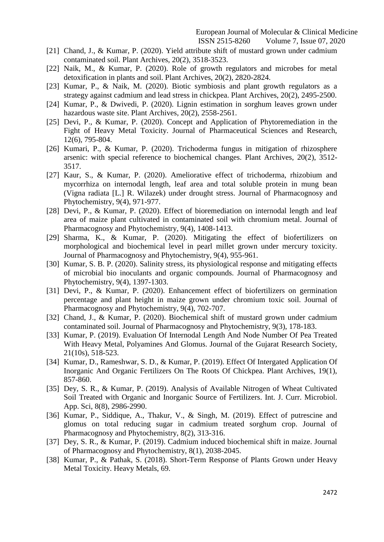- [21] Chand, J., & Kumar, P. (2020). Yield attribute shift of mustard grown under cadmium contaminated soil. Plant Archives, 20(2), 3518-3523.
- [22] Naik, M., & Kumar, P. (2020). Role of growth regulators and microbes for metal detoxification in plants and soil. Plant Archives, 20(2), 2820-2824.
- [23] Kumar, P., & Naik, M. (2020). Biotic symbiosis and plant growth regulators as a strategy against cadmium and lead stress in chickpea. Plant Archives, 20(2), 2495-2500.
- [24] Kumar, P., & Dwivedi, P. (2020). Lignin estimation in sorghum leaves grown under hazardous waste site. Plant Archives, 20(2), 2558-2561.
- [25] Devi, P., & Kumar, P. (2020). Concept and Application of Phytoremediation in the Fight of Heavy Metal Toxicity. Journal of Pharmaceutical Sciences and Research, 12(6), 795-804.
- [26] Kumari, P., & Kumar, P. (2020). Trichoderma fungus in mitigation of rhizosphere arsenic: with special reference to biochemical changes. Plant Archives, 20(2), 3512- 3517.
- [27] Kaur, S., & Kumar, P. (2020). Ameliorative effect of trichoderma, rhizobium and mycorrhiza on internodal length, leaf area and total soluble protein in mung bean (Vigna radiata [L.] R. Wilazek) under drought stress. Journal of Pharmacognosy and Phytochemistry, 9(4), 971-977.
- [28] Devi, P., & Kumar, P. (2020). Effect of bioremediation on internodal length and leaf area of maize plant cultivated in contaminated soil with chromium metal. Journal of Pharmacognosy and Phytochemistry, 9(4), 1408-1413.
- [29] Sharma, K., & Kumar, P. (2020). Mitigating the effect of biofertilizers on morphological and biochemical level in pearl millet grown under mercury toxicity. Journal of Pharmacognosy and Phytochemistry, 9(4), 955-961.
- [30] Kumar, S. B. P. (2020). Salinity stress, its physiological response and mitigating effects of microbial bio inoculants and organic compounds. Journal of Pharmacognosy and Phytochemistry, 9(4), 1397-1303.
- [31] Devi, P., & Kumar, P. (2020). Enhancement effect of biofertilizers on germination percentage and plant height in maize grown under chromium toxic soil. Journal of Pharmacognosy and Phytochemistry, 9(4), 702-707.
- [32] Chand, J., & Kumar, P. (2020). Biochemical shift of mustard grown under cadmium contaminated soil. Journal of Pharmacognosy and Phytochemistry, 9(3), 178-183.
- [33] Kumar, P. (2019). Evaluation Of Internodal Length And Node Number Of Pea Treated With Heavy Metal, Polyamines And Glomus. Journal of the Gujarat Research Society, 21(10s), 518-523.
- [34] Kumar, D., Rameshwar, S. D., & Kumar, P. (2019). Effect Of Intergated Application Of Inorganic And Organic Fertilizers On The Roots Of Chickpea. Plant Archives, 19(1), 857-860.
- [35] Dey, S. R., & Kumar, P. (2019). Analysis of Available Nitrogen of Wheat Cultivated Soil Treated with Organic and Inorganic Source of Fertilizers. Int. J. Curr. Microbiol. App. Sci, 8(8), 2986-2990.
- [36] Kumar, P., Siddique, A., Thakur, V., & Singh, M. (2019). Effect of putrescine and glomus on total reducing sugar in cadmium treated sorghum crop. Journal of Pharmacognosy and Phytochemistry, 8(2), 313-316.
- [37] Dey, S. R., & Kumar, P. (2019). Cadmium induced biochemical shift in maize. Journal of Pharmacognosy and Phytochemistry, 8(1), 2038-2045.
- [38] Kumar, P., & Pathak, S. (2018). Short-Term Response of Plants Grown under Heavy Metal Toxicity. Heavy Metals, 69.